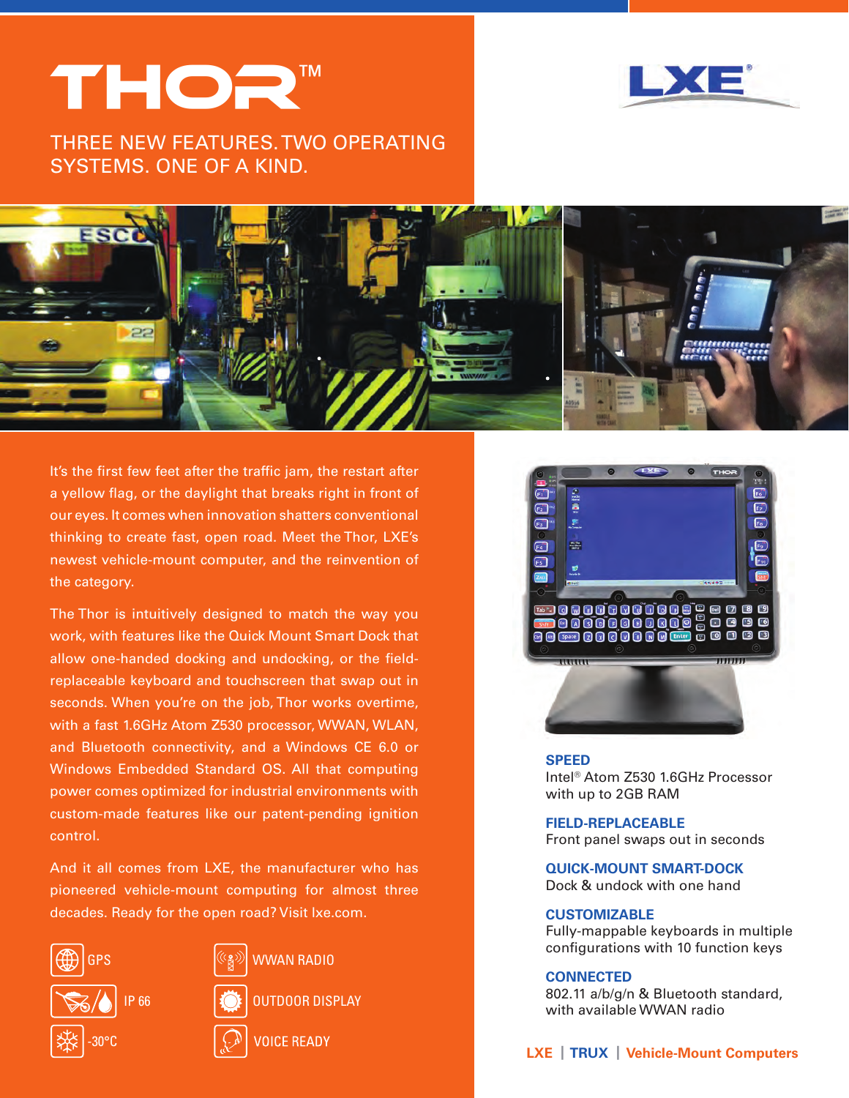# THOR™



Three new features. Two operating systems. One of a kind.



It's the first few feet after the traffic jam, the restart after a yellow flag, or the daylight that breaks right in front of our eyes. It comes when innovation shatters conventional thinking to create fast, open road. Meet the Thor, LXE's newest vehicle-mount computer, and the reinvention of the category.

The Thor is intuitively designed to match the way you work, with features like the Quick Mount Smart Dock that allow one-handed docking and undocking, or the fieldreplaceable keyboard and touchscreen that swap out in seconds. When you're on the job, Thor works overtime, with a fast 1.6GHz Atom Z530 processor, WWAN, WLAN, and Bluetooth connectivity, and a Windows CE 6.0 or Windows Embedded Standard OS. All that computing power comes optimized for industrial environments with custom-made features like our patent-pending ignition control.

And it all comes from LXE, the manufacturer who has pioneered vehicle-mount computing for almost three decades. Ready for the open road? Visit lxe.com.





WWAN RADIO

OUTDOOR DISPLAY

**VOICE READY** 



#### **SPEED**

Intel® Atom Z530 1.6GHz Processor with up to 2GB RAM

**FIELD-REPLACEABLE**  Front panel swaps out in seconds

**QUICK-MOUNT SMART-DOCK** Dock & undock with one hand

# **CUSTOMIZABLE**

Fully-mappable keyboards in multiple configurations with 10 function keys

## **CONNECTED**

802.11 a/b/g/n & Bluetooth standard, with available WWAN radio